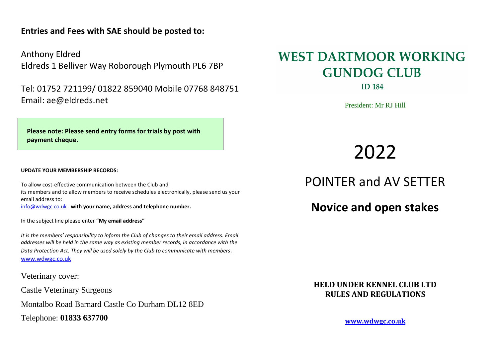## **Entries and Fees with SAE should be posted to:**

Anthony Eldred Eldreds 1 Belliver Way Roborough Plymouth PL6 7BP

Tel: 01752 721199/ 01822 859040 Mobile 07768 848751 Email: ae@eldreds.net

**Please note: Please send entry forms for trials by post with payment cheque.**

#### **UPDATE YOUR MEMBERSHIP RECORDS:**

To allow cost-effective communication between the Club and its members and to allow members to receive schedules electronically, please send us your email address to: [info@wdwgc.co.uk](mailto:info@wdwgc.co.uk) **with your name, address and telephone number.**

In the subject line please enter **"My email address"**

*It is the members' responsibility to inform the Club of changes to their email address. Email addresses will be held in the same way as existing member records, in accordance with the Data Protection Act. They will be used solely by the Club to communicate with members.* [www.wdwgc.co.uk](http://www.wdwgc.co.uk/)

Veterinary cover:

Castle Veterinary Surgeons

Montalbo Road Barnard Castle Co Durham DL12 8ED

Telephone: **01833 637700**

# **WEST DARTMOOR WORKING GUNDOG CLUB**

**ID 184** 

President: Mr RJ Hill

2022

POINTER and AV SETTER

**Novice and open stakes**

**HELD UNDER KENNEL CLUB LTD RULES AND REGULATIONS**

**[www.wdwgc.co.uk](http://www.wdwgc.co.uk/)**